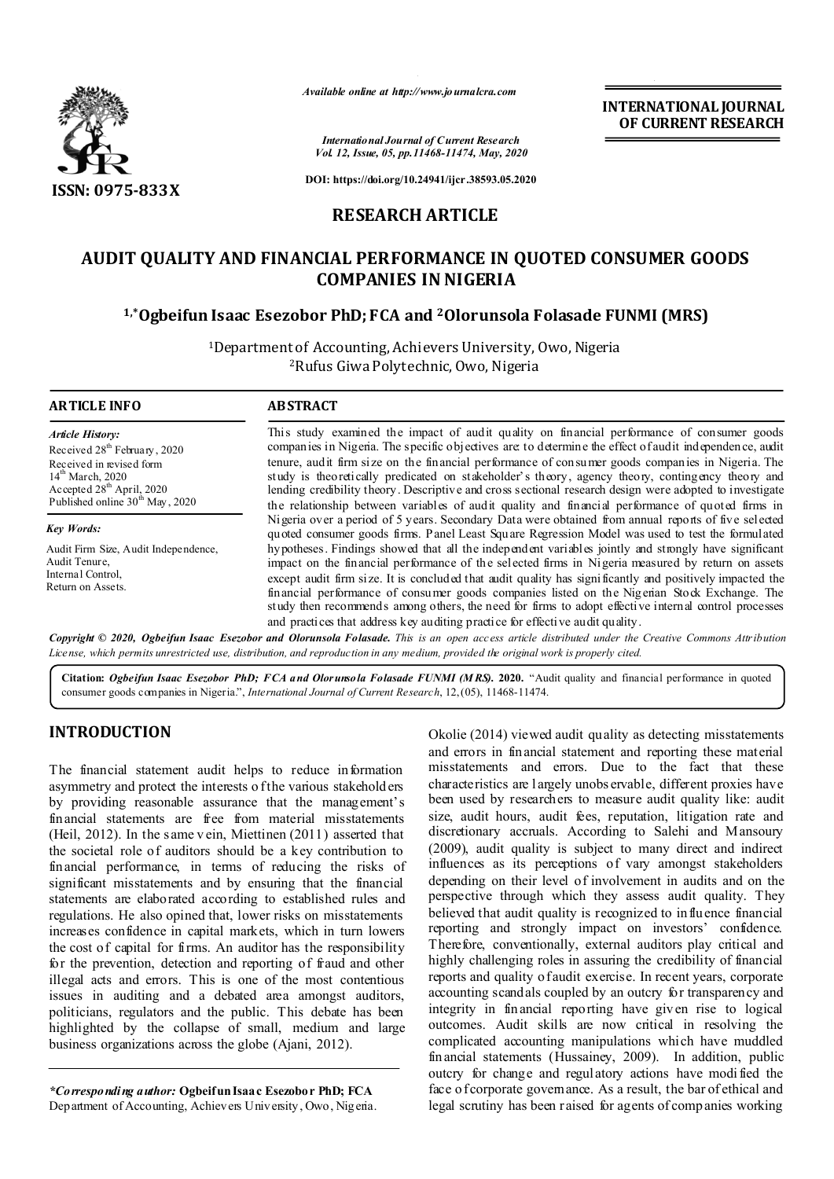

**ARTICLE INFO ABSTRACT**

*Available online at http://www.journalcra.com*

*International Journal of Current Research Vol. 12, Issue, 05, pp.11468-11474, May, 2020* **INTERNATIONAL JOURNAL OF CURRENT RESEARCH**

**DOI: https://doi.org/10.24941/ijcr.38593.05.2020**

# **RESEARCH ARTICLE**

# **AUDIT QUALITY AND FINANCIAL PERFORMANCE IN QUOTED CONSUMER GOODS COMPANIES IN NIGERIA**

# **1,\*Ogbeifun Isaac Esezobor PhD; FCA and 2Olorunsola Folasade FUNMI (MRS)**

1Department of Accounting, Achievers University, Owo, Nigeria 2Rufus Giwa Polytechnic, Owo, Nigeria

#### This study examined the impact of audit quality on financial performance of consumer goods companies in Nigeria. The specific objectives are: to determine the effect of audit independence, audit tenure, audit firm size on the financial performance of consumer goods companies in Nigeria. The study is theoretically predicated on stakeholder's theory, agency theory, contingency theory and lending credibility theory. Descriptive and cross sectional research design were adopted to investigate the relationship between variables of audit quality and financial performance of quoted firms in Nigeria over a period of 5 years. Secondary Data were obtained from annual reports of five selected quoted consumer goods firms. Panel Least Square Regression Model was used to test the formulated hypotheses. Findings showed that all the independent variables jointly and strongly have significant impact on the financial performance of the selected firms in Nigeria measured by return on assets except audit firm size. It is concluded that audit quality has significantly and positively impacted the financial performance of consumer goods companies listed on the Nigerian Stock Exchange. The study then recommends among others, the need for firms to adopt effective internal control processes and practices that address key auditing practice for effective audit quality. *Article History:* Received 28<sup>th</sup> February, 2020 Received in revised form 14<sup>th</sup> March, 2020 Accepted 28<sup>th</sup> April, 2020 Published online 30<sup>th</sup> May, 2020 *Key Words:* Audit Firm Size, Audit Independence, Audit Tenure, Internal Control, Return on Assets.

Copyright © 2020, Ogbeifun Isaac Esezobor and Olorunsola Folasade. This is an open access article distributed under the Creative Commons Attribution License, which permits unrestricted use, distribution, and reproduction in any medium, provided the original work is properly cited.

**Citation:** *Ogbeifun Isaac Esezobor PhD; FCA and Olorunsola Folasade FUNMI (M RS).* **2020.** "Audit quality and financial performance in quoted consumer goods companies in Nigeria.", *International Journal of Current Research*, 12,(05), 11468-11474.

# **INTRODUCTION**

The financial statement audit helps to reduce information asymmetry and protect the interests o f the various stakeholders by providing reasonable assurance that the management's financial statements are free from material misstatements (Heil, 2012). In the same v ein, Miettinen (2011) asserted that the societal role of auditors should be a key contribution to financial performance, in terms of reducing the risks of significant misstatements and by ensuring that the financial statements are elaborated according to established rules and regulations. He also opined that, lower risks on misstatements increases confidence in capital markets, which in turn lowers the cost of capital for firms. An auditor has the responsibility for the prevention, detection and reporting of fraud and other illegal acts and errors. This is one of the most contentious issues in auditing and a debated area amongst auditors, politicians, regulators and the public. This debate has been highlighted by the collapse of small, medium and large business organizations across the globe (Ajani, 2012).

*\*Corresponding author:* **Ogbeifun Isaac Esezobor PhD; FCA** Department of Accounting, Achievers University, Owo, Nigeria. Okolie (2014) viewed audit quality as detecting misstatements and errors in financial statement and reporting these material misstatements and errors. Due to the fact that these characteristics are l argely unobs ervable, different proxies have been used by researchers to measure audit quality like: audit size, audit hours, audit fees, reputation, litigation rate and discretionary accruals. According to Salehi and Mansoury (2009), audit quality is subject to many direct and indirect influences as its perceptions of vary amongst stakeholders depending on their level of involvement in audits and on the perspective through which they assess audit quality. They believed that audit quality is recognized to influence financial reporting and strongly impact on investors' confidence. Therefore, conventionally, external auditors play critical and highly challenging roles in assuring the credibility of financial reports and quality of audit exercise. In recent years, corporate accounting scandals coupled by an outcry for transparency and integrity in financial reporting have given rise to logical outcomes. Audit skills are now critical in resolving the complicated accounting manipulations which have muddled financial statements (Hussainey, 2009). In addition, public outcry for change and regulatory actions have modi fied the face of corporate governance. As a result, the bar of ethical and legal scrutiny has been raised for agents of comp anies working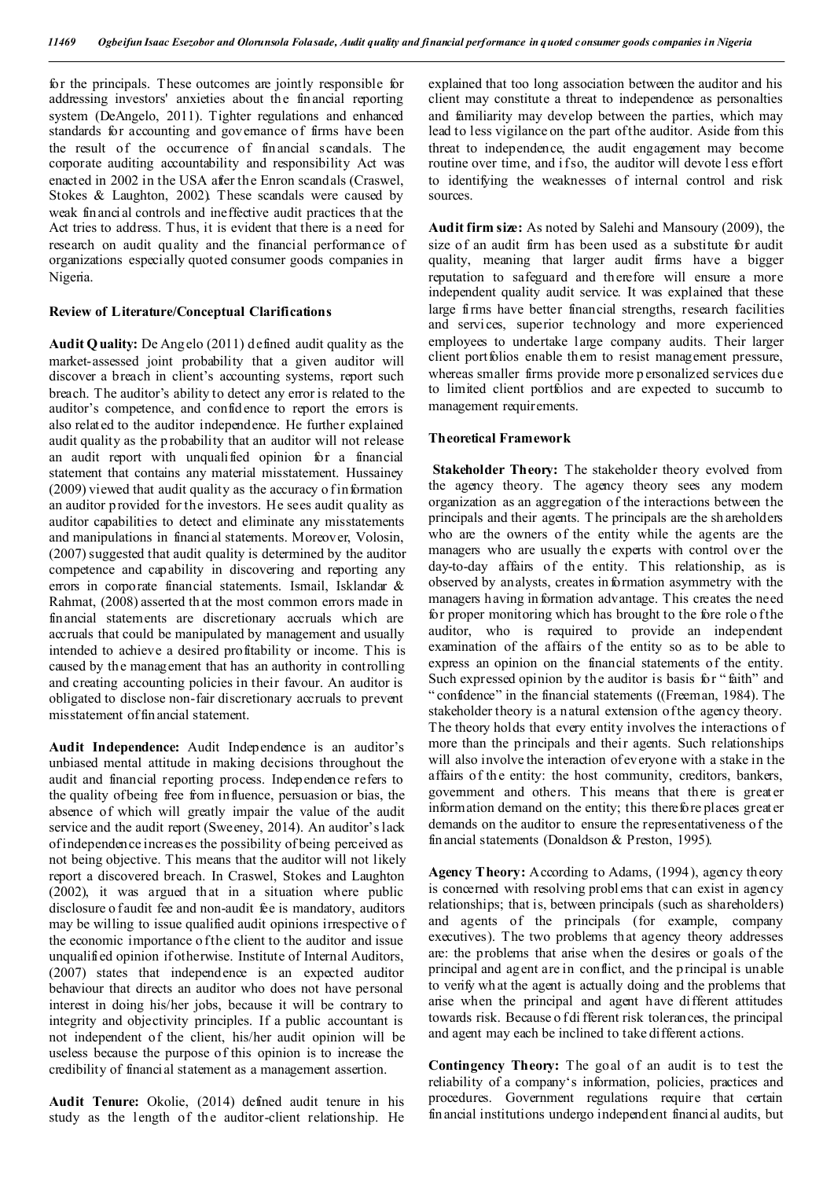for the principals. These outcomes are jointly responsible for addressing investors' anxieties about the financial reporting system (DeAngelo, 2011). Tighter regulations and enhanced standards for accounting and governance of firms have been the result of the occurrence of financial scandals. The corporate auditing accountability and responsibility Act was enacted in 2002 in the USA after the Enron scandals (Craswel, Stokes & Laughton, 2002). These scandals were caused by weak financial controls and ineffective audit practices that the Act tries to address. T hus, it is evident that there is a need for research on audit quality and the financial performance of organizations especially quoted consumer goods companies in Nigeria.

## **Review of Literature/Conceptual Clarifications**

**Audit Quality:** De Ang elo (2011) defined audit quality as the market-assessed joint probability that a given auditor will discover a breach in client's accounting systems, report such breach. The auditor's ability to detect any error is related to the auditor's competence, and confidence to report the errors is also related to the auditor independence. He further explained audit quality as the p robability that an auditor will not release an audit report with unqualified opinion for a financial statement that contains any material misstatement. Hussainey  $(2009)$  viewed that audit quality as the accuracy o f information an auditor provided for the investors. He sees audit quality as auditor capabilities to detect and eliminate any misstatements and manipulations in financial statements. Moreover, Volosin, (2007) suggested that audit quality is determined by the auditor competence and capability in discovering and reporting any errors in corporate financial statements. Ismail, Isklandar & Rahmat, (2008) asserted th at the most common errors made in financial statements are discretionary accruals which are accruals that could be manipulated by management and usually intended to achieve a desired profitability or income. This is caused by the management that has an authority in controlling and creating accounting policies in their favour. An auditor is obligated to disclose non-fair discretionary accruals to prevent misstatement of financial statement.

**Audit Independence:** Audit Independence is an auditor's unbiased mental attitude in making decisions throughout the audit and financial reporting process. Independence refers to the quality of being free from influence, persuasion or bias, the absence of which will greatly impair the value of the audit service and the audit report (Sweeney, 2014). An auditor's lack of independence increases the possibility of being perceived as not being objective. This means that the auditor will not likely report a discovered breach. In Craswel, Stokes and Laughton (2002), it was argued that in a situation where public disclosure o faudit fee and non-audit fee is mandatory, auditors may be willing to issue qualified audit opinions irrespective o f the economic importance o f the client to the auditor and issue unqualified opinion if otherwise. Institute of Internal Auditors, (2007) states that independence is an expected auditor behaviour that directs an auditor who does not have personal interest in doing his/her jobs, because it will be contrary to integrity and objectivity principles. If a public accountant is not independent of the client, his/her audit opinion will be useless because the purpose of this opinion is to increase the credibility of financial statement as a management assertion.

**Audit Tenure:** Okolie, (2014) defined audit tenure in his study as the length of the auditor-client relationship. He

explained that too long association between the auditor and his client may constitute a threat to independence as personalties and familiarity may develop between the parties, which may lead to less vigilance on the part of the auditor. Aside from this threat to independence, the audit engagement may become routine over time, and if so, the auditor will devote less effort to identifying the weaknesses of internal control and risk sources.

**Audit firm size:** As noted by Salehi and Mansoury (2009), the size of an audit firm has been used as a substitute for audit quality, meaning that larger audit firms have a bigger reputation to safeguard and therefore will ensure a more independent quality audit service. It was explained that these large firms have better financial strengths, research facilities and services, superior technology and more experienced employees to undertake large company audits. Their larger client portfolios enable them to resist management pressure, whereas smaller firms provide more p ersonalized services due to limited client portfolios and are expected to succumb to management requirements.

## **Theoretical Framework**

**Stakeholder Theory:** The stakeholder theory evolved from the agency theory. The agency theory sees any modern organization as an aggregation of the interactions between the principals and their agents. T he principals are the sh areholders who are the owners of the entity while the agents are the managers who are usually the experts with control over the day-to-day affairs of the entity. This relationship, as is observed by analysts, creates in formation asymmetry with the managers having in formation advantage. This creates the need for proper monitoring which has brought to the fore role of the auditor, who is required to provide an independent examination of the affairs of the entity so as to be able to express an opinion on the financial statements of the entity. Such expressed opinion by the auditor is basis for " faith" and " confidence" in the financial statements ((Freeman, 1984). The stakeholder theory is a natural extension of the agency theory. The theory holds that every entity involves the interactions of more than the principals and their agents. Such relationships will also involve the interaction of everyone with a stake in the affairs of the entity: the host community, creditors, bankers, government and others. This means that there is greater information demand on the entity; this therefore places greater demands on the auditor to ensure the representativeness o f the financial statements (Donaldson & Preston, 1995).

**Agency Theory:** According to Adams, (1994), agency th eory is concerned with resolving probl ems that can exist in agency relationships; that is, between principals (such as shareholders) and agents of the principals (for example, company executives). The two problems that agency theory addresses are: the problems that arise when the desires or goals of the principal and agent are in conflict, and the principal is unable to verify wh at the agent is actually doing and the problems that arise when the principal and agent have different attitudes towards risk. Because o f di fferent risk tolerances, the principal and agent may each be inclined to take different actions.

**Contingency Theory:** The goal of an audit is to test the reliability of a company's information, policies, practices and procedures. Government regulations require that certain financial institutions undergo independent financial audits, but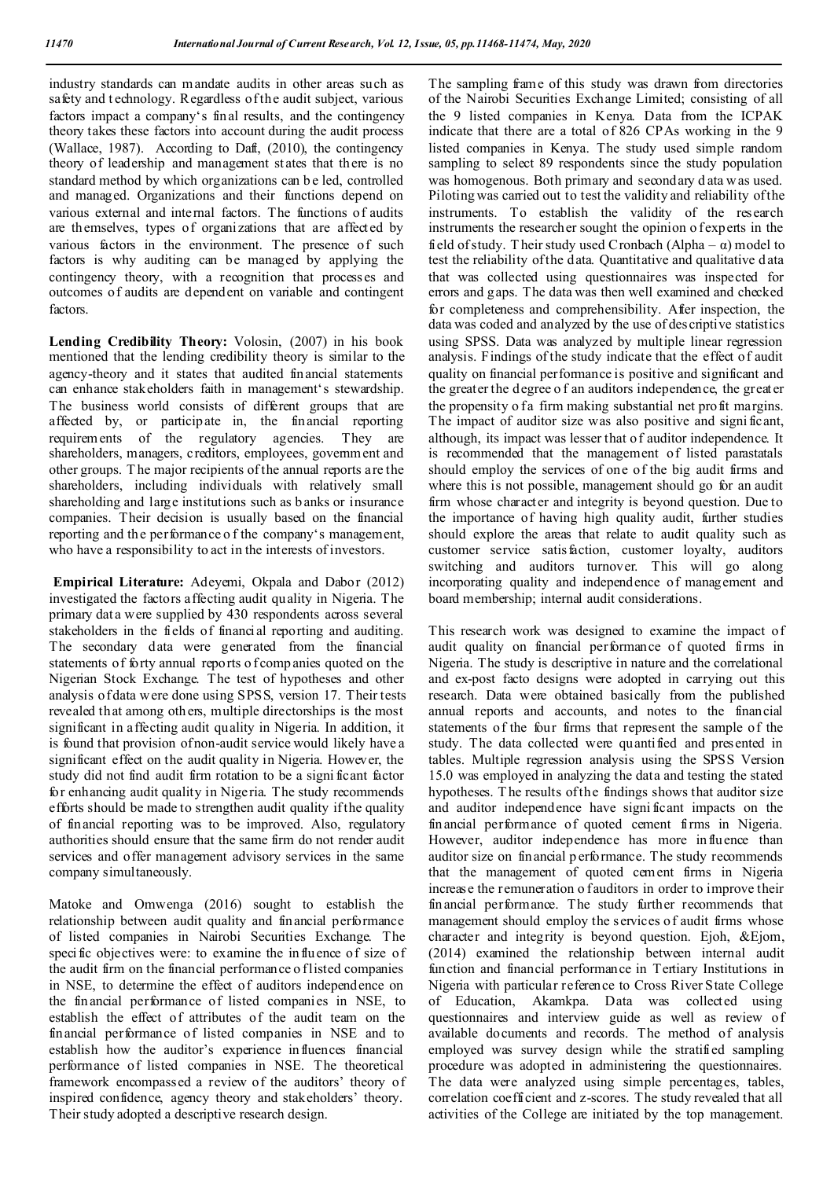industry standards can mandate audits in other areas such as safety and t echnology. Regardless of the audit subject, various factors impact a company's final results, and the contingency theory takes these factors into account during the audit process (Wallace, 1987). According to Daft, (2010), the contingency theory of leadership and management st ates that there is no standard method by which organizations can b e led, controlled and managed. Organizations and their functions depend on various external and internal factors. The functions of audits are themselves, types of organizations that are affected by various factors in the environment. The presence of such factors is why auditing can be managed by applying the contingency theory, with a recognition that processes and outcomes of audits are dependent on variable and contingent factors.

**Lending Credibility Theory:** Volosin, (2007) in his book mentioned that the lending credibility theory is similar to the agency-theory and it states that audited financial statements can enhance stakeholders faith in management's stewardship. The business world consists of different groups that are affected by, or participate in, the financial reporting requirements of the regulatory agencies. They are shareholders, managers, creditors, employees, government and other groups. T he major recipients of the annual reports are the shareholders, including individuals with relatively small shareholding and large institutions such as b anks or insurance companies. Their decision is usually based on the financial reporting and th e performance o f the company's management, who have a responsibility to act in the interests of investors.

**Empirical Literature:** Adeyemi, Okpala and Dabor (2012) investigated the factors affecting audit quality in Nigeria. The primary dat a were supplied by 430 respondents across several stakeholders in the fields of financial reporting and auditing. The secondary data were generated from the financial statements of forty annual reports of companies quoted on the Nigerian Stock Exchange. The test of hypotheses and other analysis of data were done using SPSS, version 17. Their tests revealed that among others, multiple directorships is the most significant in affecting audit quality in Nigeria. In addition, it is found that provision of non-audit service would likely have a significant effect on the audit quality in Nigeria. However, the study did not find audit firm rotation to be a signi ficant factor for enhancing audit quality in Nigeria. The study recommends efforts should be made to strengthen audit quality if the quality of financial reporting was to be improved. Also, regulatory authorities should ensure that the same firm do not render audit services and offer management advisory services in the same company simultaneously.

Matoke and Omwenga (2016) sought to establish the relationship between audit quality and financial performance of listed companies in Nairobi Securities Exchange. The specific objectives were: to examine the influence of size of the audit firm on the financial performance o f listed companies in NSE, to determine the effect of auditors independence on the financial performance of listed companies in NSE, to establish the effect of attributes of the audit team on the financial performance of listed companies in NSE and to establish how the auditor's experience influences financial performance of listed companies in NSE. The theoretical framework encompassed a review of the auditors' theory of inspired confidence, agency theory and stakeholders' theory. Their study adopted a descriptive research design.

The sampling frame of this study was drawn from directories of the Nairobi Securities Exchange Limited; consisting of all the 9 listed companies in Kenya. Data from the ICPAK indicate that there are a total of 826 CPAs working in the 9 listed companies in Kenya. The study used simple random sampling to select 89 respondents since the study population was homogenous. Both primary and secondary d ata w as used. Piloting was carried out to test the validity and reliability of the instruments. To establish the validity of the research instruments the researcher sought the opinion o f experts in the field of study. Their study used Cronbach (Alpha –  $\alpha$ ) model to test the reliability of the data. Quantitative and qualitative d ata that was collected using questionnaires was inspected for errors and gaps. The data was then well examined and checked for completeness and comprehensibility. After inspection, the data was coded and analyzed by the use of descriptive statistics using SPSS. Data was analyzed by multiple linear regression analysis. Findings of the study indicate that the effect of audit quality on financial performance is positive and significant and the greater the degree o f an auditors independence, the greater the propensity o fa firm making substantial net profit margins. The impact of auditor size was also positive and signi ficant, although, its impact was lesser that o f auditor independence. It is recommended that the management of listed parastatals should employ the services of one of the big audit firms and where this is not possible, management should go for an audit firm whose character and integrity is beyond question. Due to the importance of having high quality audit, further studies should explore the areas that relate to audit quality such as customer service satisfaction, customer loyalty, auditors switching and auditors turnover. This will go along incorporating quality and independence of management and board membership; internal audit considerations.

This research work was designed to examine the impact of audit quality on financial performance of quoted firms in Nigeria. The study is descriptive in nature and the correlational and ex-post facto designs were adopted in carrying out this research. Data were obtained basically from the published annual reports and accounts, and notes to the financial statements of the four firms that represent the sample of the study. The data collected were quantified and presented in tables. Multiple regression analysis using the SPSS Version 15.0 was employed in analyzing the data and testing the stated hypotheses. T he results of the findings shows that auditor size and auditor independence have signi ficant impacts on the financial performance of quoted cement firms in Nigeria. However, auditor independence has more influence than auditor size on financial p erformance. The study recommends that the management of quoted cement firms in Nigeria increase the remuneration o fauditors in order to improve their financial performance. The study further recommends that management should employ the services of audit firms whose character and integrity is beyond question. Ejoh, &Ejom, (2014) examined the relationship between internal audit function and financial performance in Tertiary Institutions in Nigeria with particular reference to Cross River State College of Education, Akamkpa. Data was collected using questionnaires and interview guide as well as review of available documents and records. The method of analysis employed was survey design while the stratified sampling procedure was adopted in administering the questionnaires. The data were analyzed using simple percentages, tables, correlation coefficient and z-scores. The study revealed that all activities of the College are initiated by the top management.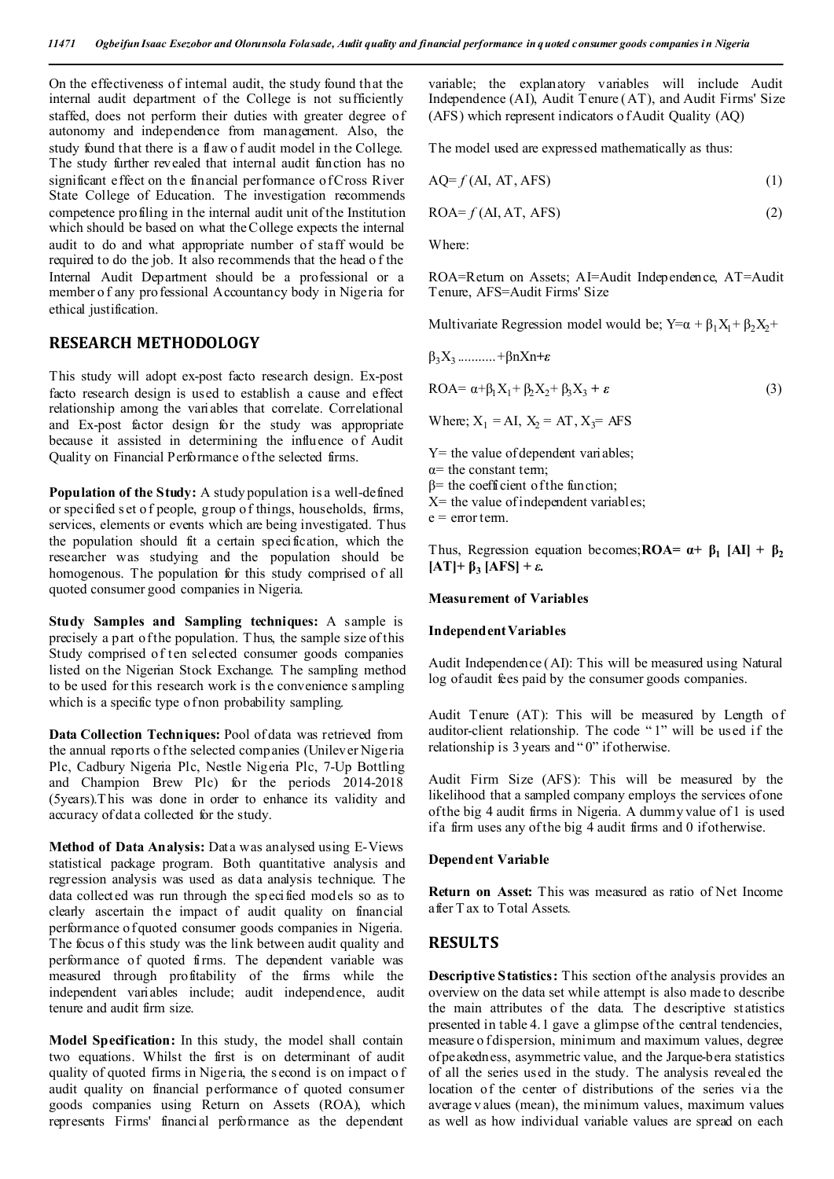On the effectiveness of internal audit, the study found that the internal audit department of the College is not sufficiently staffed, does not perform their duties with greater degree of autonomy and independence from management. Also, the study found that there is a flaw o f audit model in the College. The study further revealed that internal audit function has no significant effect on the financial performance of Cross River State College of Education. The investigation recommends competence profiling in the internal audit unit of the Institution which should be based on what the College expects the internal audit to do and what appropriate number of staff would be required to do the job. It also recommends that the head o f the Internal Audit Department should be a professional or a member o f any professional Accountancy body in Nigeria for ethical justification.

# **RESEARCH METHODOLOGY**

This study will adopt ex-post facto research design. Ex-post facto research design is used to establish a cause and effect relationship among the variables that correlate. Correlational and Ex-post factor design for the study was appropriate because it assisted in determining the influence of Audit Quality on Financial Performance of the selected firms.

**Population of the Study:** A study population is a well-defined or specified s et o f people, group of things, households, firms, services, elements or events which are being investigated. Thus the population should fit a certain specification, which the researcher was studying and the population should be homogenous. The population for this study comprised of all quoted consumer good companies in Nigeria.

**Study Samples and Sampling techniques:** A sample is precisely a part of the population. T hus, the sample size of this Study comprised of ten selected consumer goods companies listed on the Nigerian Stock Exchange. The sampling method to be used for this research work is the convenience sampling which is a specific type of non probability sampling.

**Data Collection Techniques:** Pool of data was retrieved from the annual reports of the selected companies (Unilever Nigeria Plc, Cadbury Nigeria Plc, Nestle Nigeria Plc, 7-Up Bottling and Champion Brew Plc) for the periods 2014-2018 (5years).T his was done in order to enhance its validity and accuracy of dat a collected for the study.

**Method of Data Analysis:** Data was analysed using E-Views statistical package program. Both quantitative analysis and regression analysis was used as data analysis technique. The data collected was run through the specified models so as to clearly ascertain the impact of audit quality on financial performance of quoted consumer goods companies in Nigeria. The focus of this study was the link between audit quality and performance of quoted firms. The dependent variable was measured through profitability of the firms while the independent variables include; audit independence, audit tenure and audit firm size.

**Model Specification:** In this study, the model shall contain two equations. Whilst the first is on determinant of audit quality of quoted firms in Nigeria, the s econd is on impact o f audit quality on financial performance of quoted consumer goods companies using Return on Assets (ROA), which represents Firms' financial performance as the dependent

variable; the explanatory variables will include Audit Independence (AI), Audit Tenure (AT), and Audit Firms' Size (AFS) which represent indicators o f Audit Quality (AQ)

The model used are expressed mathematically as thus:

$$
AQ=f(AI, AT,AFS)
$$
 (1)

$$
ROA = f(AI, AT, AFS)
$$
 (2)

Where:

ROA=Return on Assets; AI=Audit Independence, AT=Audit Tenure, AFS=Audit Firms' Size

Multivariate Regression model would be;  $Y = \alpha + \beta_1 X_1 + \beta_2 X_2 +$ 

$$
\beta_3 X_3 \dots \dots \dots + \beta n X n + \epsilon
$$

$$
ROA = \alpha + \beta_1 X_1 + \beta_2 X_2 + \beta_3 X_3 + \varepsilon
$$
\n(3)

Where; 
$$
X_1 = AI
$$
,  $X_2 = AT$ ,  $X_3 = AFS$ 

 $Y=$  the value of dependent variables;

 $\alpha$ = the constant term:

- $β=$  the coefficient of the function;
- $X=$  the value of independent variables;

 $e = error term$ .

Thus, Regression equation becomes;  $\text{ROA} = \alpha + \beta_1 |\text{AI}| + \beta_2$ **[AT]+ β3 [AFS] +** *ε.*

## **Measurement of Variables**

#### **Independent Variables**

Audit Independence (AI): This will be measured using Natural log of audit fees paid by the consumer goods companies.

Audit Tenure (AT): This will be measured by Length of auditor-client relationship. The code " 1" will be used if the relationship is 3 years and "0" if otherwise.

Audit Firm Size (AFS): This will be measured by the likelihood that a sampled company employs the services of one of the big 4 audit firms in Nigeria. A dummy value of 1 is used if a firm uses any of the big 4 audit firms and 0 if otherwise.

#### **Dependent Variable**

**Return on Asset:** This was measured as ratio of Net Income after T ax to Total Assets.

# **RESULTS**

**Descriptive Statistics:** This section of the analysis provides an overview on the data set while attempt is also made to describe the main attributes of the data. The descriptive st atistics presented in table 4.1 gave a glimpse of the central tendencies, measure o f dispersion, minimum and maximum values, degree of peakedness, asymmetric value, and the Jarque-bera statistics of all the series used in the study. The analysis revealed the location of the center of distributions of the series via the average v alues (mean), the minimum values, maximum values as well as how individual variable values are spread on each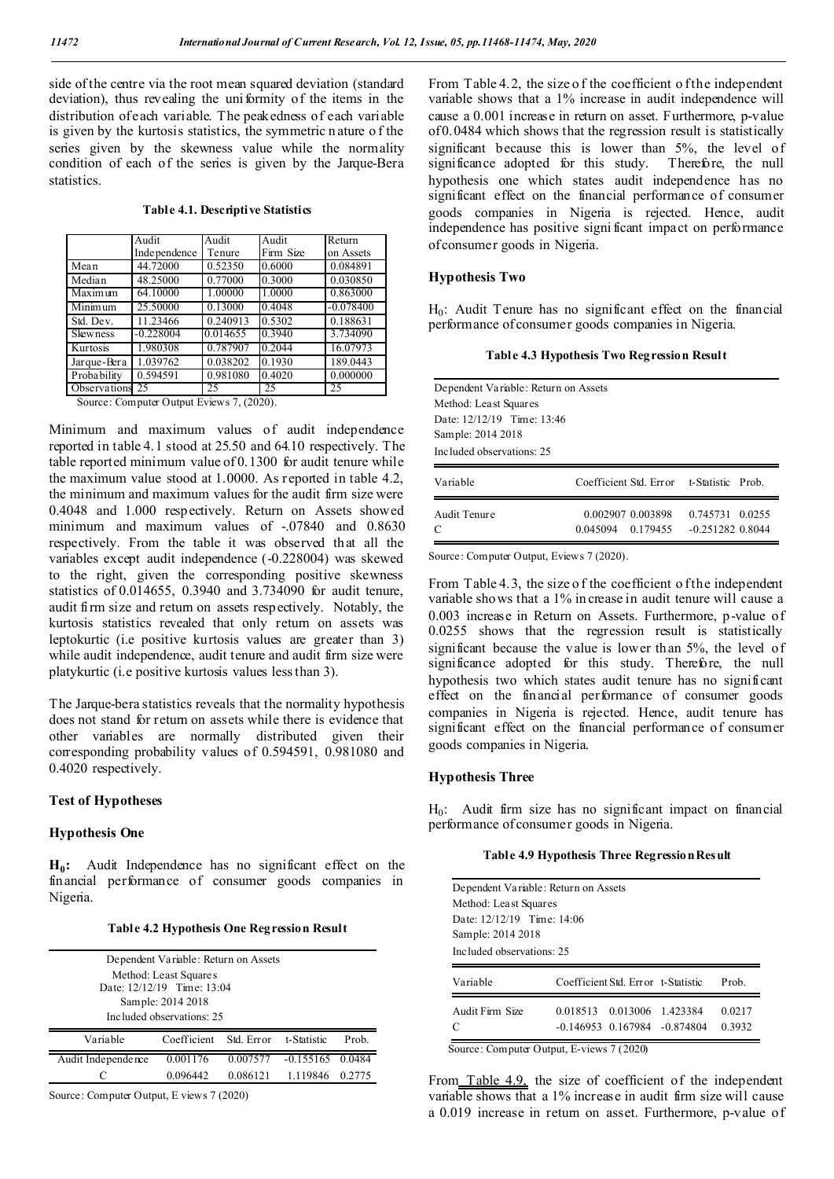side of the centre via the root mean squared deviation (standard deviation), thus revealing the uniformity of the items in the distribution of each variable. The peakedness of each variable is given by the kurtosis statistics, the symmetric n ature o f the series given by the skewness value while the normality condition of each of the series is given by the Jarque-Bera statistics.

|  | Table 4.1. Descriptive Statistics |  |
|--|-----------------------------------|--|
|--|-----------------------------------|--|

|                             | Audit        | Audit    | Audit     | Return      |
|-----------------------------|--------------|----------|-----------|-------------|
|                             | Independence | Tenure   | Firm Size | on Assets   |
| Mean                        | 44.72000     | 0.52350  | 0.6000    | 0.084891    |
| Median                      | 48.25000     | 0.77000  | 0.3000    | 0.030850    |
| $\overline{\text{Maximum}}$ | 64.10000     | 1.00000  | 1.0000    | 0.863000    |
| Minimum                     | 25.50000     | 0.13000  | 0.4048    | $-0.078400$ |
| Std. Dev.                   | 11.23466     | 0.240913 | 0.5302    | 0.188631    |
| <b>Skewness</b>             | $-0.228004$  | 0.014655 | 0.3940    | 3.734090    |
| Kurtosis                    | 1.980308     | 0.787907 | 0.2044    | 16.07973    |
| Jarque-Bera                 | 1.039762     | 0.038202 | 0.1930    | 189.0443    |
| Probability                 | 0.594591     | 0.981080 | 0.4020    | 0.000000    |
| Observations 25             |              | 25       | 25        | 25          |

Source: Computer Output Eviews 7, (2020).

Minimum and maximum values of audit independence reported in table 4.1 stood at 25.50 and 64.10 respectively. The table reported minimum value of 0.1300 for audit tenure while the maximum value stood at 1.0000. As reported in table 4.2, the minimum and maximum values for the audit firm size were 0.4048 and 1.000 respectively. Return on Assets showed minimum and maximum values of -.07840 and 0.8630 respectively. From the table it was observed that all the variables except audit independence (-0.228004) was skewed to the right, given the corresponding positive skewness statistics of 0.014655, 0.3940 and 3.734090 for audit tenure, audit firm size and return on assets respectively. Notably, the kurtosis statistics revealed that only return on assets was leptokurtic (i.e positive kurtosis values are greater than 3) while audit independence, audit tenure and audit firm size were platykurtic (i.e positive kurtosis values less than 3).

The Jarque-bera statistics reveals that the normality hypothesis does not stand for return on assets while there is evidence that other variables are normally distributed given their corresponding probability values of 0.594591, 0.981080 and 0.4020 respectively.

## **Test of Hypotheses**

# **Hypothesis One**

**H0:** Audit Independence has no significant effect on the financial performance of consumer goods companies in Nigeria.

|  |  | Table 4.2 Hypothesis One Regression Result |
|--|--|--------------------------------------------|
|--|--|--------------------------------------------|

|                    | Dependent Variable: Return on Assets<br>Method: Least Squares<br>Date: 12/12/19 Time: 13:04<br>Sample: 2014 2018<br>Included observations: 25 |            |                    |        |
|--------------------|-----------------------------------------------------------------------------------------------------------------------------------------------|------------|--------------------|--------|
| Variable           | Coefficient                                                                                                                                   | Std. Error | t-Statistic        | Prob.  |
| Audit Independence | 0.001176                                                                                                                                      | 0.007577   | $-0.155165$ 0.0484 |        |
|                    | 0.096442                                                                                                                                      | 0.086121   | 1.119846           | 0.2775 |

Source: Computer Output, E views 7 (2020)

From Table 4.2, the size of the coefficient of the independent variable shows that a 1% increase in audit independence will cause a 0.001 increase in return on asset. Furthermore, p-value of 0.0484 which shows that the regression result is statistically significant because this is lower than 5%, the level of significance adopted for this study. Therefore, the null hypothesis one which states audit independence has no significant effect on the financial performance of consumer goods companies in Nigeria is rejected. Hence, audit independence has positive signi ficant impact on performance of consumer goods in Nigeria.

#### **Hypothesis Two**

 $H_0$ : Audit Tenure has no significant effect on the financial performance of consumer goods companies in Nigeria.

|  | Table 4.3 Hypothesis Two Regression Result |  |
|--|--------------------------------------------|--|
|  |                                            |  |

Dependent Variable: Return on Assets Method: Least Squares Date: 12/12/19 Time: 13:46 Sample: 2014 2018 Included observations: 25 Variable Coefficient Std. Error t-Statistic Prob.

| Audit Tenure | 0.002907 0.003898 | 0.745731 0.0255    |
|--------------|-------------------|--------------------|
| C            | 0.045094 0.179455 | $-0.251282$ 0.8044 |

Source: Computer Output, Eviews 7 (2020).

From Table 4.3, the size of the coefficient of the independent variable shows that a 1% in crease in audit tenure will cause a 0.003 increase in Return on Assets. Furthermore, p-value of 0.0255 shows that the regression result is statistically significant because the value is lower than 5%, the level of significance adopted for this study. Therefore, the null hypothesis two which states audit tenure has no significant effect on the financial performance of consumer goods companies in Nigeria is rejected. Hence, audit tenure has significant effect on the financial performance of consumer goods companies in Nigeria.

## **Hypothesis Three**

 $H_0$ : Audit firm size has no significant impact on financial performance of consumer goods in Nigeria.

#### **Table 4.9 Hypothesis Three Regression Result**

| Dependent Variable: Return on Assets |                                    |                   |        |
|--------------------------------------|------------------------------------|-------------------|--------|
| Method: Least Squares                |                                    |                   |        |
| Date: 12/12/19 Time: 14:06           |                                    |                   |        |
| Sample: 2014 2018                    |                                    |                   |        |
| Included observations: 25            |                                    |                   |        |
|                                      |                                    |                   |        |
|                                      |                                    |                   |        |
| Variable                             | Coefficient Std. Error t-Statistic |                   | Prob.  |
| Audit Firm Size                      | 0.018513                           | 0.013006 1.423384 | 0.0217 |

Source: Computer Output, E-views 7 (2020)

From Table 4.9, the size of coefficient of the independent variable shows that a 1% increase in audit firm size will cause a 0.019 increase in return on asset. Furthermore, p-value of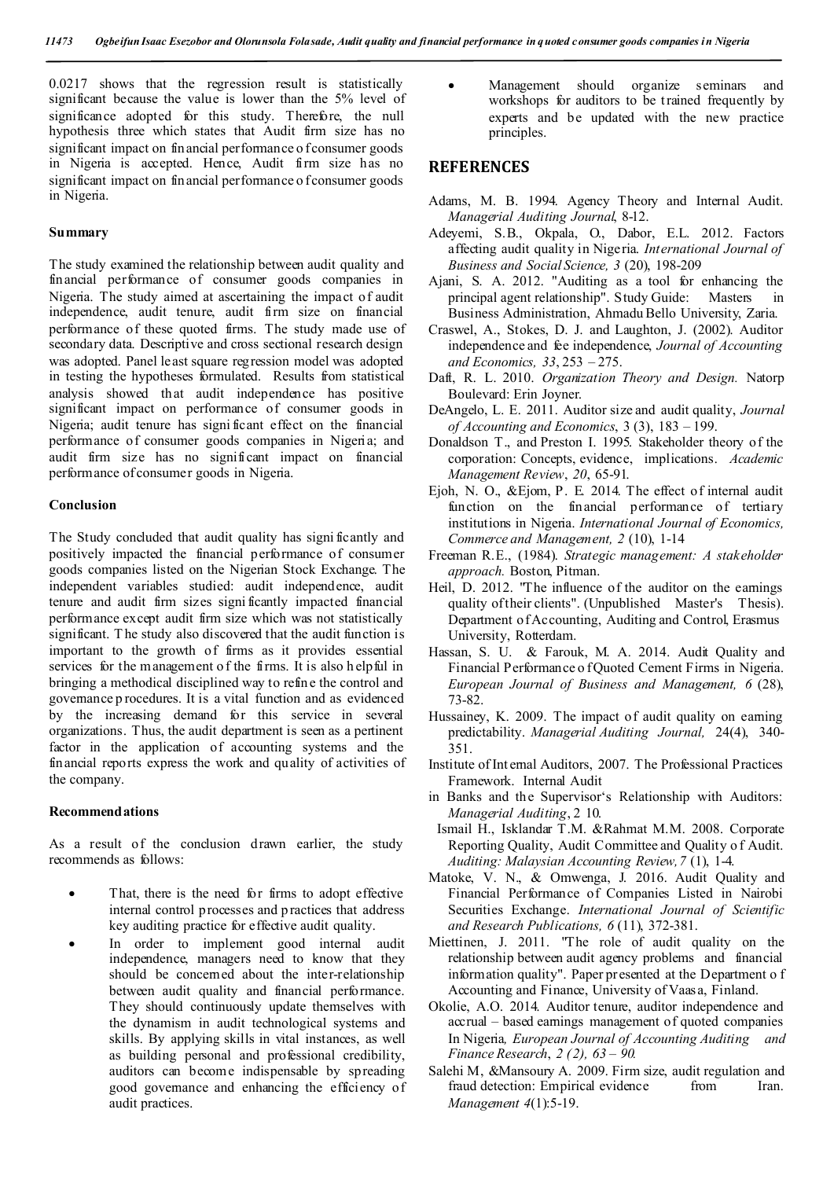0.0217 shows that the regression result is statistically significant because the value is lower than the 5% level of significance adopted for this study. Therefore, the null hypothesis three which states that Audit firm size has no significant impact on financial performance o f consumer goods in Nigeria is accepted. Hence, Audit firm size has no significant impact on financial performance o f consumer goods in Nigeria.

#### **Summary**

The study examined the relationship between audit quality and financial performance of consumer goods companies in Nigeria. The study aimed at ascertaining the impact of audit independence, audit tenure, audit firm size on financial performance of these quoted firms. The study made use of secondary data. Descriptive and cross sectional research design was adopted. Panel least square regression model was adopted in testing the hypotheses formulated. Results from statistical analysis showed that audit independence has positive significant impact on performance of consumer goods in Nigeria; audit tenure has signi ficant effect on the financial performance of consumer goods companies in Nigeria; and audit firm size has no significant impact on financial performance of consumer goods in Nigeria.

#### **Conclusion**

The Study concluded that audit quality has signi ficantly and positively impacted the financial performance of consumer goods companies listed on the Nigerian Stock Exchange. The independent variables studied: audit independence, audit tenure and audit firm sizes signi ficantly impacted financial performance except audit firm size which was not statistically significant. T he study also discovered that the audit function is important to the growth of firms as it provides essential services for the m anagement o f the firms. It is also h elpful in bringing a methodical disciplined way to refine the control and governance p rocedures. It is a vital function and as evidenced by the increasing demand for this service in several organizations. Thus, the audit department is seen as a pertinent factor in the application of accounting systems and the financial reports express the work and quality of activities of the company.

#### **Recommendations**

As a result of the conclusion drawn earlier, the study recommends as follows:

- That, there is the need for firms to adopt effective internal control processes and practices that address key auditing practice for effective audit quality.
- In order to implement good internal audit independence, managers need to know that they should be concerned about the inter-relationship between audit quality and financial performance. They should continuously update themselves with the dynamism in audit technological systems and skills. By applying skills in vital instances, as well as building personal and professional credibility, auditors can become indispensable by spreading good governance and enhancing the efficiency of audit practices.

 Management should organize seminars and workshops for auditors to be trained frequently by experts and be updated with the new practice principles.

# **REFERENCES**

- Adams, M. B. 1994. Agency Theory and Internal Audit. *Managerial Auditing Journal*, 8-12.
- Adeyemi, S.B., Okpala, O., Dabor, E.L. 2012. Factors affecting audit quality in Nigeria. *International Journal of Business and Social Science, 3* (20), 198-209
- Ajani, S. A. 2012. "Auditing as a tool for enhancing the principal agent relationship". Study Guide: Masters in Business Administration, Ahmadu Bello University, Zaria.
- Craswel, A., Stokes, D. J. and Laughton, J. (2002). Auditor independence and fee independence, *Journal of Accounting and Economics, 33*, 253 – 275.
- Daft, R. L. 2010. *Organization Theory and Design.* Natorp Boulevard: Erin Joyner.
- DeAngelo, L. E. 2011. Auditor size and audit quality, *Journal of Accounting and Economics*, 3 (3), 183 – 199.
- Donaldson T., and Preston I. 1995. Stakeholder theory of the corporation: Concepts, evidence, implications. *Academic Management Review*, *20*, 65-91.
- Ejoh, N. O., &Ejom, P. E. 2014. The effect of internal audit function on the financial performance of tertiary institutions in Nigeria. *International Journal of Economics, Commerce and Management, 2* (10), 1-14
- Freeman R.E., (1984). *Strategic management: A stakeholder approach.* Boston, Pitman.
- Heil, D. 2012. "The influence of the auditor on the earnings quality of their clients". (Unpublished Master's Thesis). Department of Accounting, Auditing and Control, Erasmus University, Rotterdam.
- Hassan, S. U. & Farouk, M. A. 2014. Audit Quality and Financial Performance o f Quoted Cement Firms in Nigeria. *European Journal of Business and Management, 6* (28), 73-82.
- Hussainey, K. 2009. The impact of audit quality on earning predictability. *Managerial Auditing Journal,* 24(4), 340- 351.
- Institute of Int ernal Auditors, 2007. The Professional Practices Framework. Internal Audit
- in Banks and the Supervisor's Relationship with Auditors: *Managerial Auditing*, 2 10.
- Ismail H., Isklandar T.M. &Rahmat M.M. 2008. Corporate Reporting Quality, Audit Committee and Quality o f Audit. *Auditing: Malaysian Accounting Review,7* (1), 1-4.
- Matoke, V. N., & Omwenga, J. 2016. Audit Quality and Financial Performance of Companies Listed in Nairobi Securities Exchange. *International Journal of Scientific and Research Publications, 6* (11), 372-381.
- Miettinen, J. 2011. "The role of audit quality on the relationship between audit agency problems and financial information quality". Paper presented at the Department o f Accounting and Finance, University of Vaasa, Finland.
- Okolie, A.O. 2014. Auditor tenure, auditor independence and accrual – based earnings management of quoted companies In Nigeria*, European Journal of Accounting Auditing and Finance Research*, *2 (2), 63 – 90.*
- Salehi M, &Mansoury A. 2009. Firm size, audit regulation and fraud detection: Empirical evidence from Iran. *Management 4*(1):5-19.